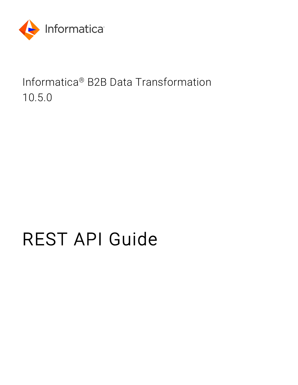

Informatica® B2B Data Transformation 10.5.0

# REST API Guide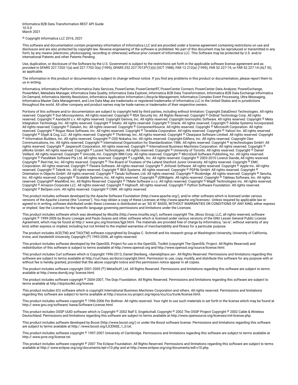Informatica B2B Data Transformation REST API Guide 10.5.0 March 2021

© Copyright Informatica LLC 2016, 2021

This software and documentation contain proprietary information of Informatica LLC and are provided under a license agreement containing restrictions on use and disclosure and are also protected by copyright law. Reverse engineering of the software is prohibited. No part of this document may be reproduced or transmitted in any form, by any means (electronic, photocopying, recording or otherwise) without prior consent of Informatica LLC. This Software may be protected by U.S. and/or international Patents and other Patents Pending.

Use, duplication, or disclosure of the Software by the U.S. Government is subject to the restrictions set forth in the applicable software license agreement and as provided in DFARS 227.7202-1(a) and 227.7702-3(a) (1995), DFARS 252.227-7013©(1)(ii) (OCT 1988), FAR 12.212(a) (1995), FAR 52.227-19, or FAR 52.227-14 (ALT III), as applicable.

The information in this product or documentation is subject to change without notice. If you find any problems in this product or documentation, please report them to us in writing.

Informatica, Informatica Platform, Informatica Data Services, PowerCenter, PowerCenterRT, PowerCenter Connect, PowerCenter Data Analyzer, PowerExchange, PowerMart, Metadata Manager, Informatica Data Quality, Informatica Data Explorer, Informatica B2B Data Transformation, Informatica B2B Data Exchange Informatica On Demand, Informatica Identity Resolution, Informatica Application Information Lifecycle Management, Informatica Complex Event Processing, Ultra Messaging, Informatica Master Data Management, and Live Data Map are trademarks or registered trademarks of Informatica LLC in the United States and in jurisdictions throughout the world. All other company and product names may be trade names or trademarks of their respective owners.

Portions of this software and/or documentation are subject to copyright held by third parties, including without limitation: Copyright DataDirect Technologies. All rights reserved. Copyright © Sun Microsystems. All rights reserved. Copyright © RSA Security Inc. All Rights Reserved. Copyright © Ordinal Technology Corp. All rights reserved. Copyright © Aandacht c.v. All rights reserved. Copyright Genivia, Inc. All rights reserved. Copyright Isomorphic Software. All rights reserved. Copyright © Meta Integration Technology, Inc. All rights reserved. Copyright © Intalio. All rights reserved. Copyright © Oracle. All rights reserved. Copyright © Adobe Systems Incorporated. All rights reserved. Copyright © DataArt, Inc. All rights reserved. Copyright © ComponentSource. All rights reserved. Copyright © Microsoft Corporation. All rights<br>reserved. Copyright © Rogue Wave Software, Inc. All rights Copyright © Glyph & Cog, LLC. All rights reserved. Copyright © Thinkmap, Inc. All rights reserved. Copyright © Clearpace Software Limited. All rights reserved. Copyright © Information Builders, Inc. All rights reserved. Copyright © OSS Nokalva, Inc. All rights reserved. Copyright Edifecs, Inc. All rights reserved. Copyright Cleo Communications, Inc. All rights reserved. Copyright © International Organization for Standardization 1986. All rights reserved. Copyright © ej-technologies GmbH. All rights reserved. Copyright © Jaspersoft Corporation. All rights reserved. Copyright © International Business Machines Corporation. All rights reserved. Copyright © yWorks GmbH. All rights reserved. Copyright © Lucent Technologies. All rights reserved. Copyright © University of Toronto. All rights reserved. Copyright © Daniel Veillard. All rights reserved. Copyright © Unicode, Inc. Copyright IBM Corp. All rights reserved. Copyright © MicroQuill Software Publishing, Inc. All rights reserved. Copyright © PassMark Software Pty Ltd. All rights reserved. Copyright © LogiXML, Inc. All rights reserved. Copyright © 2003-2010 Lorenzi Davide, All rights reserved. Copyright © Red Hat, Inc. All rights reserved. Copyright © The Board of Trustees of the Leland Stanford Junior University. All rights reserved. Copyright © EMC Corporation. All rights reserved. Copyright © Flexera Software. All rights reserved. Copyright © Jinfonet Software. All rights reserved. Copyright © Apple Inc. All rights reserved. Copyright © Telerik Inc. All rights reserved. Copyright © BEA Systems. All rights reserved. Copyright © PDFlib GmbH. All rights reserved. Copyright © Orientation in Objects GmbH. All rights reserved. Copyright © Tanuki Software, Ltd. All rights reserved. Copyright © Ricebridge. All rights reserved. Copyright © Sencha, Inc. All rights reserved. Copyright © Scalable Systems, Inc. All rights reserved. Copyright © jQWidgets. All rights reserved. Copyright © Tableau Software, Inc. All rights reserved. Copyright© MaxMind, Inc. All Rights Reserved. Copyright © TMate Software s.r.o. All rights reserved. Copyright © MapR Technologies Inc. All rights reserved. Copyright © Amazon Corporate LLC. All rights reserved. Copyright © Highsoft. All rights reserved. Copyright © Python Software Foundation. All rights reserved. Copyright © BeOpen.com. All rights reserved. Copyright © CNRI. All rights reserved.

This product includes software developed by the Apache Software Foundation (http://www.apache.org/), and/or other software which is licensed under various versions of the Apache License (the "License"). You may obtain a copy of these Licenses at http://www.apache.org/licenses/. Unless required by applicable law or agreed to in writing, software distributed under these Licenses is distributed on an "AS IS" BASIS, WITHOUT WARRANTIES OR CONDITIONS OF ANY KIND, either express or implied. See the Licenses for the specific language governing permissions and limitations under the Licenses.

This product includes software which was developed by Mozilla (http://www.mozilla.org/), software copyright The JBoss Group, LLC, all rights reserved; software<br>copyright © 1999-2006 by Bruno Lowagie and Paulo Soares and ot Agreement, which may be found at http:// www.gnu.org/licenses/lgpl.html. The materials are provided free of charge by Informatica, "as-is", without warranty of any kind, either express or implied, including but not limited to the implied warranties of merchantability and fitness for a particular purpose.

The product includes ACE(TM) and TAO(TM) software copyrighted by Douglas C. Schmidt and his research group at Washington University, University of California, Irvine, and Vanderbilt University, Copyright (©) 1993-2006, all rights reserved.

This product includes software developed by the OpenSSL Project for use in the OpenSSL Toolkit (copyright The OpenSSL Project. All Rights Reserved) and redistribution of this software is subject to terms available at http://www.openssl.org and http://www.openssl.org/source/license.html.

This product includes Curl software which is Copyright 1996-2013, Daniel Stenberg, <daniel@haxx.se>. All Rights Reserved. Permissions and limitations regarding this software are subject to terms available at http://curl.haxx.se/docs/copyright.html. Permission to use, copy, modify, and distribute this software for any purpose with or without fee is hereby granted, provided that the above copyright notice and this permission notice appear in all copies.

The product includes software copyright 2001-2005 (©) MetaStuff, Ltd. All Rights Reserved. Permissions and limitations regarding this software are subject to terms available at http://www.dom4j.org/ license.html.

The product includes software copyright © 2004-2007, The Dojo Foundation. All Rights Reserved. Permissions and limitations regarding this software are subject to terms available at http://dojotoolkit.org/license.

This product includes ICU software which is copyright International Business Machines Corporation and others. All rights reserved. Permissions and limitations regarding this software are subject to terms available at http://source.icu-project.org/repos/icu/icu/trunk/license.html.

This product includes software copyright © 1996-2006 Per Bothner. All rights reserved. Your right to use such materials is set forth in the license which may be found at http:// www.gnu.org/software/ kawa/Software-License.html.

This product includes OSSP UUID software which is Copyright © 2002 Ralf S. Engelschall, Copyright © 2002 The OSSP Project Copyright © 2002 Cable & Wireless Deutschland. Permissions and limitations regarding this software are subject to terms available at http://www.opensource.org/licenses/mit-license.php.

This product includes software developed by Boost (http://www.boost.org/) or under the Boost software license. Permissions and limitations regarding this software are subject to terms available at http:/ /www.boost.org/LICENSE\_1\_0.txt.

This product includes software copyright © 1997-2007 University of Cambridge. Permissions and limitations regarding this software are subject to terms available at http:// www.pcre.org/license.txt.

This product includes software copyright © 2007 The Eclipse Foundation. All Rights Reserved. Permissions and limitations regarding this software are subject to terms available at http:// www.eclipse.org/org/documents/epl-v10.php and at http://www.eclipse.org/org/documents/edl-v10.php.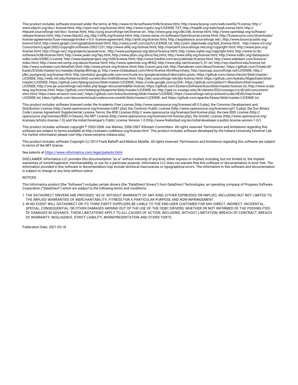This product includes software licensed under the terms at http://www.tcl.tk/software/tcltk/license.html, http://www.bosrup.com/web/overlib/?License, http:// www.stlport.org/doc/ license.html, http://asm.ow2.org/license.html, http://www.cryptix.org/LICENSE.TXT, http://hsqldb.org/web/hsqlLicense.html, http:// httpunit.sourceforge.net/doc/ license.html, http://jung.sourceforge.net/license.txt , http://www.gzip.org/zlib/zlib\_license.html, http://www.openldap.org/software/ release/license.html, http://www.libssh2.org, http://slf4j.org/license.html, http://www.sente.ch/software/OpenSourceLicense.html, http://fusesource.com/downloads/ license-agreements/fuse-message-broker-v-5-3- license-agreement; http://antlr.org/license.html; http://aopalliance.sourceforge.net/; http://www.bouncycastle.org/ licence.html; http://www.jgraph.com/jgraphdownload.html; http://www.jcraft.com/jsch/LICENSE.txt; http://jotm.objectweb.org/bsd\_license.html; . http://www.w3.org/ Consortium/Legal/2002/copyright-software-20021231; http://www.slf4j.org/license.html; http://nanoxml.sourceforge.net/orig/copyright.html; http://www.json.org/ license.html; http://forge.ow2.org/projects/javaservice/, http://www.postgresql.org/about/licence.html, http://www.sqlite.org/copyright.html, http://www.tcl.tk/ software/tcltk/license.html, http://www.jaxen.org/faq.html, http://www.jdom.org/docs/faq.html, http://www.slf4j.org/license.html; http://www.iodbc.org/dataspace/ iodbc/wiki/iODBC/License; http://www.keplerproject.org/md5/license.html; http://www.toedter.com/en/jcalendar/license.html; http://www.edankert.com/bounce/ index.html; http://www.net-snmp.org/about/license.html; http://www.openmdx.org/#FAQ; http://www.php.net/license/3\_01.txt; http://srp.stanford.edu/license.txt; http://www.schneier.com/blowfish.html; http://www.jmock.org/license.html; http://xsom.java.net; http://benalman.com/about/license/; https://github.com/CreateJS/ EaselJS/blob/master/src/easeljs/display/Bitmap.js; http://www.h2database.com/html/license.html#summary; http://jsoncpp.sourceforge.net/LICENSE; http:// jdbc.postgresql.org/license.html; http://protobuf.googlecode.com/svn/trunk/src/google/protobuf/descriptor.proto; https://github.com/rantav/hector/blob/master/ LICENSE; http://web.mit.edu/Kerberos/krb5-current/doc/mitK5license.html; http://jibx.sourceforge.net/jibx-license.html; https://github.com/lyokato/libgeohash/blob/ master/LICENSE; https://github.com/hjiang/jsonxx/blob/master/LICENSE; https://code.google.com/p/lz4/; https://github.com/jedisct1/libsodium/blob/master/ LICENSE; http://one-jar.sourceforge.net/index.php?page=documents&file=license; https://github.com/EsotericSoftware/kryo/blob/master/license.txt; http://www.scalalang.org/license.html; https://github.com/tinkerpop/blueprints/blob/master/LICENSE.txt; http://gee.cs.oswego.edu/dl/classes/EDU/oswego/cs/dl/util/concurrent/ intro.html; https://aws.amazon.com/asl/; https://github.com/twbs/bootstrap/blob/master/LICENSE; https://sourceforge.net/p/xmlunit/code/HEAD/tree/trunk/ LICENSE.txt; https://github.com/documentcloud/underscore-contrib/blob/master/LICENSE, and https://github.com/apache/hbase/blob/master/LICENSE.txt.

This product includes software licensed under the Academic Free License (http://www.opensource.org/licenses/afl-3.0.php), the Common Development and Distribution License (http://www.opensource.org/licenses/cddl1.php) the Common Public License (http://www.opensource.org/licenses/cpl1.0.php), the Sun Binary Code License Agreement Supplemental License Terms, the BSD License (http:// www.opensource.org/licenses/bsd-license.php), the new BSD License (http:// opensource.org/licenses/BSD-3-Clause), the MIT License (http://www.opensource.org/licenses/mit-license.php), the Artistic License (http://www.opensource.org/ licenses/artistic-license-1.0) and the Initial Developer's Public License Version 1.0 (http://www.firebirdsql.org/en/initial-developer-s-public-license-version-1-0/).

This product includes software copyright © 2003-2006 Joe Walnes, 2006-2007 XStream Committers. All rights reserved. Permissions and limitations regarding this software are subject to terms available at http://xstream.codehaus.org/license.html. This product includes software developed by the Indiana University Extreme! Lab. For further information please visit http://www.extreme.indiana.edu/.

This product includes software Copyright (c) 2013 Frank Balluffi and Markus Moeller. All rights reserved. Permissions and limitations regarding this software are subject to terms of the MIT license.

#### See patents at<https://www.informatica.com/legal/patents.html>.

DISCLAIMER: Informatica LLC provides this documentation "as is" without warranty of any kind, either express or implied, including, but not limited to, the implied warranties of noninfringement, merchantability, or use for a particular purpose. Informatica LLC does not warrant that this software or documentation is error free. The information provided in this software or documentation may include technical inaccuracies or typographical errors. The information in this software and documentation is subject to change at any time without notice.

#### **NOTICES**

This Informatica product (the "Software") includes certain drivers (the "DataDirect Drivers") from DataDirect Technologies, an operating company of Progress Software Corporation ("DataDirect") which are subject to the following terms and conditions:

- 1. THE DATADIRECT DRIVERS ARE PROVIDED "AS IS" WITHOUT WARRANTY OF ANY KIND, EITHER EXPRESSED OR IMPLIED, INCLUDING BUT NOT LIMITED TO, THE IMPLIED WARRANTIES OF MERCHANTABILITY, FITNESS FOR A PARTICULAR PURPOSE AND NON-INFRINGEMENT.
- 2. IN NO EVENT WILL DATADIRECT OR ITS THIRD PARTY SUPPLIERS BE LIABLE TO THE END-USER CUSTOMER FOR ANY DIRECT, INDIRECT, INCIDENTAL, SPECIAL, CONSEQUENTIAL OR OTHER DAMAGES ARISING OUT OF THE USE OF THE ODBC DRIVERS, WHETHER OR NOT INFORMED OF THE POSSIBILITIES OF DAMAGES IN ADVANCE. THESE LIMITATIONS APPLY TO ALL CAUSES OF ACTION, INCLUDING, WITHOUT LIMITATION, BREACH OF CONTRACT, BREACH OF WARRANTY, NEGLIGENCE, STRICT LIABILITY, MISREPRESENTATION AND OTHER TORTS.

Publication Date: 2021-03-18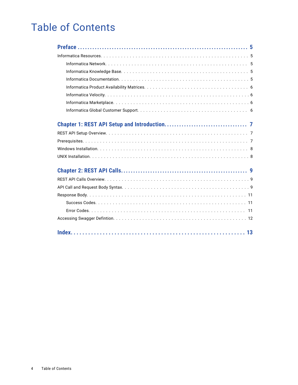## Table of Contents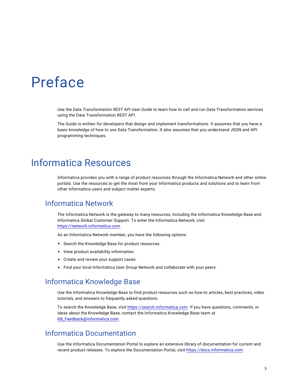## <span id="page-4-0"></span>Preface

Use the *Data Transformation REST API User Guide* to learn how to call and run Data Transformation services using the Data Transformation REST API.

The Guide is written for developers that design and implement transformations. It assumes that you have a basic knowledge of how to use Data Transformation. It also assumes that you understand JSON and API programming techniques.

## Informatica Resources

Informatica provides you with a range of product resources through the Informatica Network and other online portals. Use the resources to get the most from your Informatica products and solutions and to learn from other Informatica users and subject matter experts.

#### Informatica Network

The Informatica Network is the gateway to many resources, including the Informatica Knowledge Base and Informatica Global Customer Support. To enter the Informatica Network, visit [https://network.informatica.com.](https://network.informatica.com)

As an Informatica Network member, you have the following options:

- **•** Search the Knowledge Base for product resources.
- **•** View product availability information.
- **•** Create and review your support cases.
- **•** Find your local Informatica User Group Network and collaborate with your peers.

#### Informatica Knowledge Base

Use the Informatica Knowledge Base to find product resources such as how-to articles, best practices, video tutorials, and answers to frequently asked questions.

To search the Knowledge Base, visit [https://search.informatica.com.](http://search.informatica.com) If you have questions, comments, or ideas about the Knowledge Base, contact the Informatica Knowledge Base team at [KB\\_Feedback@informatica.com.](mailto:KB_Feedback@informatica.com)

#### Informatica Documentation

Use the Informatica Documentation Portal to explore an extensive library of documentation for current and recent product releases. To explore the Documentation Portal, visit <https://docs.informatica.com>.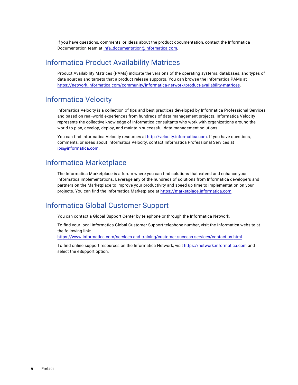<span id="page-5-0"></span>If you have questions, comments, or ideas about the product documentation, contact the Informatica Documentation team at [infa\\_documentation@informatica.com.](mailto:infa_documentation@informatica.com)

#### Informatica Product Availability Matrices

Product Availability Matrices (PAMs) indicate the versions of the operating systems, databases, and types of data sources and targets that a product release supports. You can browse the Informatica PAMs at [https://network.informatica.com/community/informatica-network/product-availability-matrices.](https://network.informatica.com/community/informatica-network/product-availability-matrices)

#### Informatica Velocity

Informatica Velocity is a collection of tips and best practices developed by Informatica Professional Services and based on real-world experiences from hundreds of data management projects. Informatica Velocity represents the collective knowledge of Informatica consultants who work with organizations around the world to plan, develop, deploy, and maintain successful data management solutions.

You can find Informatica Velocity resources at<http://velocity.informatica.com>. If you have questions, comments, or ideas about Informatica Velocity, contact Informatica Professional Services at [ips@informatica.com](mailto:ips@informatica.com).

#### Informatica Marketplace

The Informatica Marketplace is a forum where you can find solutions that extend and enhance your Informatica implementations. Leverage any of the hundreds of solutions from Informatica developers and partners on the Marketplace to improve your productivity and speed up time to implementation on your projects. You can find the Informatica Marketplace at [https://marketplace.informatica.com.](https://marketplace.informatica.com)

#### Informatica Global Customer Support

You can contact a Global Support Center by telephone or through the Informatica Network.

To find your local Informatica Global Customer Support telephone number, visit the Informatica website at the following link:

<https://www.informatica.com/services-and-training/customer-success-services/contact-us.html>.

To find online support resources on the Informatica Network, visit [https://network.informatica.com](http://network.informatica.com) and select the eSupport option.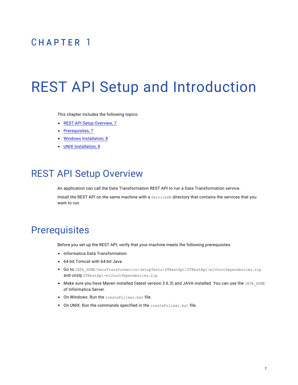## <span id="page-6-0"></span>CHAPTER 1

# REST API Setup and Introduction

This chapter includes the following topics:

- **•** REST API Setup Overview, 7
- **•** Prerequisites, 7
- **•** Windows [Installation,](#page-7-0) 8
- **•** UNIX [Installation,](#page-7-0) 8

## REST API Setup Overview

An application can call the Data Transformation REST API to run a Data Transformation service.

Install the REST API on the same machine with a ServiceDB directory that contains the services that you want to run.

### **Prerequisites**

Before you set up the REST API, verify that your machine meets the following prerequisites:

- **•** Informatica Data Transformation
- **•** 64-bit Tomcat with 64-bit Java
- Go to INFA\_HOME/DataTransformation/setupTests\DTRestApi\DTRestApi-withoutDependencies.zip and unzip DTRestApi-withoutDependencies.zip.
- Make sure you have Maven installed (latest version 3.6.3) and JAVA installed. You can use the JAVA\_HOME of Informatica Server.
- **•** On Windows: Run the createFullwar.bat file.
- **•** On UNIX: Run the commands specified in the createFullwar.bat file.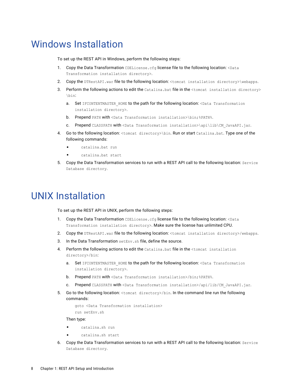## <span id="page-7-0"></span>Windows Installation

To set up the REST API in Windows, perform the following steps:

- 1. Copy the Data Transformation CDELicense.cfg license file to the following location: <Data Transformation installation directory>.
- 2. Copy the DTRestAPI.war file to the following location: <tomcat installation directory>\webapps.
- 3. Perform the following actions to edit the Catalina.bat file in the  $\triangle$ tomcat installation directory> \bin:
	- a. Set IFCONTENTMASTER HOME to the path for the following location: <Data Transformation installation directory>.
	- b. Prepend PATH with <Data Transformation installation>\bin;%PATH%.
	- c. Prepend CLASSPATH with <Data Transformation installation>\api\lib\CM\_JavaAPI.jar.
- 4. Go to the following location: <tomcat directory>\bin. Run or start Catalina.bat. Type one of the following commands:
	- **•** catalina.bat run
	- **•** catalina.bat start
- 5. Copy the Data Transformation services to run with a REST API call to the following location: Service Database directory.

## UNIX Installation

To set up the REST API in UNIX, perform the following steps:

- 1. Copy the Data Transformation CDELicense.cfg license file to the following location: <Data Transformation installation directory>. Make sure the license has unlimited CPU.
- 2. Copy the DTRestAPI.war file to the following location: <tomcat installation directory>/webapps.
- 3. In the Data Transformation setEnv.sh file, define the source.
- 4. Perform the following actions to edit the Catalina.bat file in the <tomcat installation directory>/bin:
	- a. Set IFCONTENTMASTER HOME to the path for the following location: <Data Transformation installation directory>.
	- b. Prepend PATH with <Data Transformation installation>/bin;%PATH%.
	- Prepend CLASSPATH with <Data Transformation installation>/api/lib/CM\_JavaAPI.jar.
- 5. Go to the following location:  $\langle$ tomcat directory>/bin. In the command line run the following commands:

```
goto <Data Transformation installation>
run setEnv.sh
```
Then type:

- **•** catalina.sh run
- **•** catalina.sh start
- 6. Copy the Data Transformation services to run with a REST API call to the following location: Service Database directory.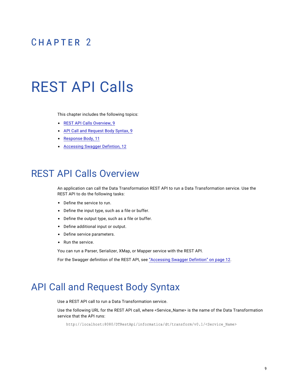## <span id="page-8-0"></span> $CHAPTER$  2

# REST API Calls

This chapter includes the following topics:

- **•** REST API Calls Overview, 9
- **•** API Call and Request Body Syntax, 9
- **•** [Response](#page-10-0) Body, 11
- **•** [Accessing](#page-11-0) Swagger Defintion, 12

### REST API Calls Overview

An application can call the Data Transformation REST API to run a Data Transformation service. Use the REST API to do the following tasks:

- **•** Define the service to run.
- **•** Define the input type, such as a file or buffer.
- **•** Define the output type, such as a file or buffer.
- **•** Define additional input or output.
- **•** Define service parameters.
- **•** Run the service.

You can run a Parser, Serializer, XMap, or Mapper service with the REST API.

For the Swagger definition of the REST API, see ["Accessing](#page-11-0) Swagger Defintion" on page 12.

## API Call and Request Body Syntax

Use a REST API call to run a Data Transformation service.

Use the following URL for the REST API call, where <Service\_Name> is the name of the Data Transformation service that the API runs:

http://localhost:8080/DTRestApi/informatica/dt/transform/v0.1/<Service\_Name>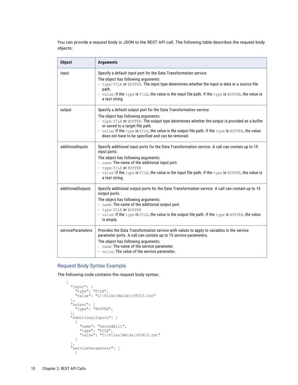You can provide a request body in JSON to the REST API call. The following table describes the request body objects:

| <b>Object</b>     | <b>Arguments</b>                                                                                                                                                                                                                                                                                                                                                                                        |
|-------------------|---------------------------------------------------------------------------------------------------------------------------------------------------------------------------------------------------------------------------------------------------------------------------------------------------------------------------------------------------------------------------------------------------------|
| input             | Specify a default input port for the Data Transformation service.<br>The object has following arguments:<br>- type: FILE or BUFFER. The input type determines whether the input is data or a source file<br>path.<br>- value: If the type is FILE, the value is the input file path. If the type is BUFFER, the value is<br>a text string                                                               |
| output            | Specify a default output port for the Data Transformation service.<br>The object has following arguments:<br>- type: FILE or BUFFER. The output type determines whether the output is provided as a buffer<br>or saved to a target file path.<br>- value: If the type is FILE, the value is the output file path. If the type is BUFFER, the value<br>does not have to be specified and can be removed. |
| additionalInputs  | Specify additional input ports for the Data Transformation service. A call can contain up to 15<br>input ports.<br>The object has following arguments:<br>- name: The name of the additional input port.<br>- type: FILE OF BUFFER<br>- value: If the type is FILE, the value is the input file path. If the type is BUFFER, the value is<br>a text string.                                             |
| additionalOutputs | Specify additional output ports for the Data Transformation service. A call can contain up to 15<br>output ports.<br>The object has following arguments:<br>- name: The name of the additional output port.<br>- type: FILE OF BUFFER<br>- value: If the type is FILE, the value is the output file path. If the type is BUFFER, the value<br>is empty.                                                 |
| serviceParameters | Provides the Data Transformation service with values to apply to variables in the service<br>parameter ports. A call can contain up to 15 service parameters.<br>The object has following arguments:<br>- name: The name of the service parameter.<br>- value: The value of the service parameter.                                                                                                      |

#### Request Body Syntax Example

The following code contains the request body syntax:

```
{
  "input": {
     "type": "FILE",
     "value": "C:\Files\Meida\r99315.txt"
  },
  "output": {
     "type": "BUFFER",
  },
  "additionalInputs": [
    \left\{ \begin{array}{c} \end{array} \right."name": "SecondBill",
       "type": "FILE",
       "value": "C:\Files\Meida\r43615.txt"
    }
  ],
  "serviceParameters": [
     {
```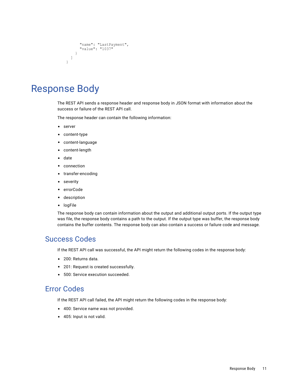```
"name": "LastPayment",
      "value": "1037"
    }
 ]
}
```
## Response Body

The REST API sends a response header and response body in JSON format with information about the success or failure of the REST API call.

The response header can contain the following information:

- **•** server
- **•** content-type
- **•** content-language
- **•** content-length
- **•** date
- **•** connection
- **•** transfer-encoding
- **•** severity
- **•** errorCode
- **•** description
- **•** logFile

The response body can contain information about the output and additional output ports. If the output type was file, the response body contains a path to the output. If the output type was buffer, the response body contains the buffer contents. The response body can also contain a success or failure code and message.

#### Success Codes

If the REST API call was successful, the API might return the following codes in the response body:

- **•** 200: Returns data.
- **•** 201: Request is created successfully.
- **•** 500: Service execution succeeded.

#### Error Codes

If the REST API call failed, the API might return the following codes in the response body:

- **•** 400: Service name was not provided.
- **•** 405: Input is not valid.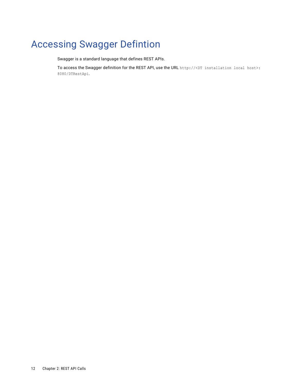## <span id="page-11-0"></span>Accessing Swagger Defintion

Swagger is a standard language that defines REST APIs.

To access the Swagger definition for the REST API, use the URL http://<DT installation local host>: 8080/DTRestApi.